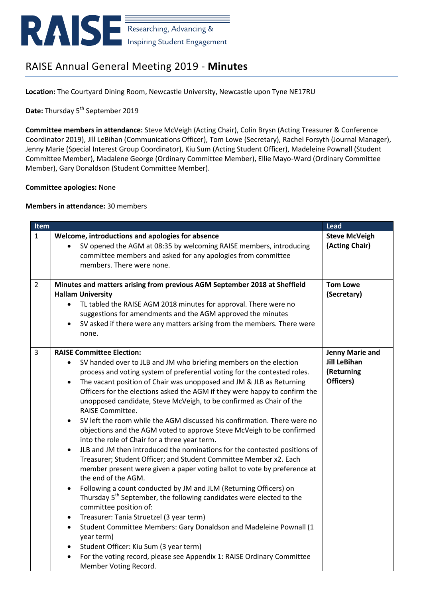

# RAISE Annual General Meeting 2019 - **Minutes**

**Location:** The Courtyard Dining Room, Newcastle University, Newcastle upon Tyne NE17RU

Date: Thursday 5<sup>th</sup> September 2019

**Committee members in attendance:** Steve McVeigh (Acting Chair), Colin Brysn (Acting Treasurer & Conference Coordinator 2019), Jill LeBihan (Communications Officer), Tom Lowe (Secretary), Rachel Forsyth (Journal Manager), Jenny Marie (Special Interest Group Coordinator), Kiu Sum (Acting Student Officer), Madeleine Pownall (Student Committee Member), Madalene George (Ordinary Committee Member), Ellie Mayo-Ward (Ordinary Committee Member), Gary Donaldson (Student Committee Member).

### **Committee apologies:** None

#### **Members in attendance:** 30 members

| Item           |                                                                                                                                                                                                                                                                                                                                                                                                                                                                                                                                                                                                                                                                                                                                                                                                                                                                                                                                                                                                                                                                                                                                                                                                                                                                                                                                                        | <b>Lead</b>                                                       |
|----------------|--------------------------------------------------------------------------------------------------------------------------------------------------------------------------------------------------------------------------------------------------------------------------------------------------------------------------------------------------------------------------------------------------------------------------------------------------------------------------------------------------------------------------------------------------------------------------------------------------------------------------------------------------------------------------------------------------------------------------------------------------------------------------------------------------------------------------------------------------------------------------------------------------------------------------------------------------------------------------------------------------------------------------------------------------------------------------------------------------------------------------------------------------------------------------------------------------------------------------------------------------------------------------------------------------------------------------------------------------------|-------------------------------------------------------------------|
| $\mathbf{1}$   | Welcome, introductions and apologies for absence<br>SV opened the AGM at 08:35 by welcoming RAISE members, introducing<br>committee members and asked for any apologies from committee<br>members. There were none.                                                                                                                                                                                                                                                                                                                                                                                                                                                                                                                                                                                                                                                                                                                                                                                                                                                                                                                                                                                                                                                                                                                                    | <b>Steve McVeigh</b><br>(Acting Chair)                            |
| $\overline{2}$ | Minutes and matters arising from previous AGM September 2018 at Sheffield<br><b>Hallam University</b><br>TL tabled the RAISE AGM 2018 minutes for approval. There were no<br>$\bullet$<br>suggestions for amendments and the AGM approved the minutes<br>SV asked if there were any matters arising from the members. There were<br>$\bullet$<br>none.                                                                                                                                                                                                                                                                                                                                                                                                                                                                                                                                                                                                                                                                                                                                                                                                                                                                                                                                                                                                 | <b>Tom Lowe</b><br>(Secretary)                                    |
| $\overline{3}$ | <b>RAISE Committee Election:</b><br>SV handed over to JLB and JM who briefing members on the election<br>process and voting system of preferential voting for the contested roles.<br>The vacant position of Chair was unopposed and JM & JLB as Returning<br>$\bullet$<br>Officers for the elections asked the AGM if they were happy to confirm the<br>unopposed candidate, Steve McVeigh, to be confirmed as Chair of the<br>RAISE Committee.<br>SV left the room while the AGM discussed his confirmation. There were no<br>$\bullet$<br>objections and the AGM voted to approve Steve McVeigh to be confirmed<br>into the role of Chair for a three year term.<br>JLB and JM then introduced the nominations for the contested positions of<br>$\bullet$<br>Treasurer; Student Officer; and Student Committee Member x2. Each<br>member present were given a paper voting ballot to vote by preference at<br>the end of the AGM.<br>Following a count conducted by JM and JLM (Returning Officers) on<br>$\bullet$<br>Thursday 5 <sup>th</sup> September, the following candidates were elected to the<br>committee position of:<br>Treasurer: Tania Struetzel (3 year term)<br>$\bullet$<br>Student Committee Members: Gary Donaldson and Madeleine Pownall (1<br>$\bullet$<br>year term)<br>Student Officer: Kiu Sum (3 year term)<br>$\bullet$ | Jenny Marie and<br><b>Jill LeBihan</b><br>(Returning<br>Officers) |
|                | For the voting record, please see Appendix 1: RAISE Ordinary Committee<br>$\bullet$<br>Member Voting Record.                                                                                                                                                                                                                                                                                                                                                                                                                                                                                                                                                                                                                                                                                                                                                                                                                                                                                                                                                                                                                                                                                                                                                                                                                                           |                                                                   |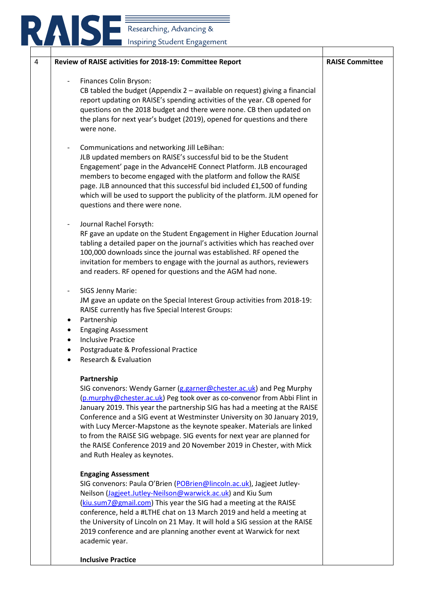| Researching, Advancing &                                                                                                                                                                                                                                                                                                                                                                                                                                                                                                                                                              |                        |
|---------------------------------------------------------------------------------------------------------------------------------------------------------------------------------------------------------------------------------------------------------------------------------------------------------------------------------------------------------------------------------------------------------------------------------------------------------------------------------------------------------------------------------------------------------------------------------------|------------------------|
|                                                                                                                                                                                                                                                                                                                                                                                                                                                                                                                                                                                       |                        |
| Inspiring Student Engagement                                                                                                                                                                                                                                                                                                                                                                                                                                                                                                                                                          |                        |
| Review of RAISE activities for 2018-19: Committee Report                                                                                                                                                                                                                                                                                                                                                                                                                                                                                                                              | <b>RAISE Committee</b> |
| Finances Colin Bryson:<br>CB tabled the budget (Appendix $2$ – available on request) giving a financial<br>report updating on RAISE's spending activities of the year. CB opened for<br>questions on the 2018 budget and there were none. CB then updated on<br>the plans for next year's budget (2019), opened for questions and there<br>were none.                                                                                                                                                                                                                                 |                        |
| Communications and networking Jill LeBihan:<br>JLB updated members on RAISE's successful bid to be the Student<br>Engagement' page in the AdvanceHE Connect Platform. JLB encouraged<br>members to become engaged with the platform and follow the RAISE<br>page. JLB announced that this successful bid included £1,500 of funding<br>which will be used to support the publicity of the platform. JLM opened for<br>questions and there were none.                                                                                                                                  |                        |
| Journal Rachel Forsyth:<br>RF gave an update on the Student Engagement in Higher Education Journal<br>tabling a detailed paper on the journal's activities which has reached over<br>100,000 downloads since the journal was established. RF opened the<br>invitation for members to engage with the journal as authors, reviewers<br>and readers. RF opened for questions and the AGM had none.                                                                                                                                                                                      |                        |
| SIGS Jenny Marie:<br>JM gave an update on the Special Interest Group activities from 2018-19:<br>RAISE currently has five Special Interest Groups:<br>Partnership                                                                                                                                                                                                                                                                                                                                                                                                                     |                        |
| <b>Engaging Assessment</b><br><b>Inclusive Practice</b><br>Postgraduate & Professional Practice<br><b>Research &amp; Evaluation</b>                                                                                                                                                                                                                                                                                                                                                                                                                                                   |                        |
| Partnership<br>SIG convenors: Wendy Garner (g.garner@chester.ac.uk) and Peg Murphy<br>(p.murphy@chester.ac.uk) Peg took over as co-convenor from Abbi Flint in<br>January 2019. This year the partnership SIG has had a meeting at the RAISE<br>Conference and a SIG event at Westminster University on 30 January 2019,<br>with Lucy Mercer-Mapstone as the keynote speaker. Materials are linked<br>to from the RAISE SIG webpage. SIG events for next year are planned for<br>the RAISE Conference 2019 and 20 November 2019 in Chester, with Mick<br>and Ruth Healey as keynotes. |                        |
| <b>Engaging Assessment</b><br>SIG convenors: Paula O'Brien (POBrien@lincoln.ac.uk), Jagjeet Jutley-<br>Neilson (Jagjeet.Jutley-Neilson@warwick.ac.uk) and Kiu Sum<br>(kiu.sum7@gmail.com) This year the SIG had a meeting at the RAISE<br>conference, held a #LTHE chat on 13 March 2019 and held a meeting at<br>the University of Lincoln on 21 May. It will hold a SIG session at the RAISE<br>2019 conference and are planning another event at Warwick for next<br>academic year.                                                                                                |                        |

**Inclusive Practice**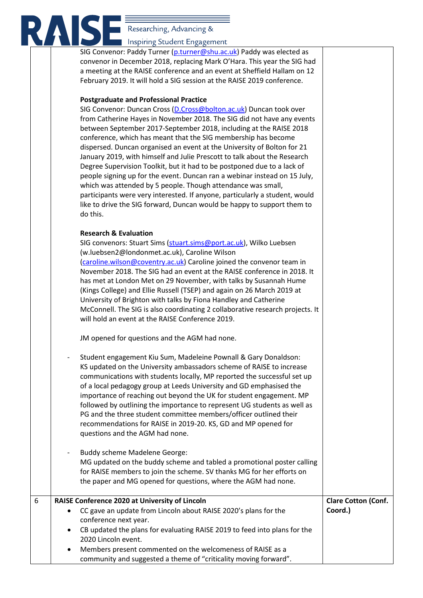# RASIG Researching, Advancing &

|   | Inspiring Student Engagement                                                                                                                                                                                                                                                                                                                                                                                                                                                                                                                                                                                                                                                                                                                                                                                                              |                            |
|---|-------------------------------------------------------------------------------------------------------------------------------------------------------------------------------------------------------------------------------------------------------------------------------------------------------------------------------------------------------------------------------------------------------------------------------------------------------------------------------------------------------------------------------------------------------------------------------------------------------------------------------------------------------------------------------------------------------------------------------------------------------------------------------------------------------------------------------------------|----------------------------|
|   | SIG Convenor: Paddy Turner (p.turner@shu.ac.uk) Paddy was elected as<br>convenor in December 2018, replacing Mark O'Hara. This year the SIG had<br>a meeting at the RAISE conference and an event at Sheffield Hallam on 12<br>February 2019. It will hold a SIG session at the RAISE 2019 conference.<br><b>Postgraduate and Professional Practice</b>                                                                                                                                                                                                                                                                                                                                                                                                                                                                                   |                            |
|   | SIG Convenor: Duncan Cross (D.Cross@bolton.ac.uk) Duncan took over<br>from Catherine Hayes in November 2018. The SIG did not have any events<br>between September 2017-September 2018, including at the RAISE 2018<br>conference, which has meant that the SIG membership has become<br>dispersed. Duncan organised an event at the University of Bolton for 21<br>January 2019, with himself and Julie Prescott to talk about the Research<br>Degree Supervision Toolkit, but it had to be postponed due to a lack of<br>people signing up for the event. Duncan ran a webinar instead on 15 July,<br>which was attended by 5 people. Though attendance was small,<br>participants were very interested. If anyone, particularly a student, would<br>like to drive the SIG forward, Duncan would be happy to support them to<br>do this. |                            |
|   | <b>Research &amp; Evaluation</b><br>SIG convenors: Stuart Sims (stuart.sims@port.ac.uk), Wilko Luebsen<br>(w.luebsen2@londonmet.ac.uk), Caroline Wilson<br>(caroline.wilson@coventry.ac.uk) Caroline joined the convenor team in<br>November 2018. The SIG had an event at the RAISE conference in 2018. It<br>has met at London Met on 29 November, with talks by Susannah Hume<br>(Kings College) and Ellie Russell (TSEP) and again on 26 March 2019 at<br>University of Brighton with talks by Fiona Handley and Catherine<br>McConnell. The SIG is also coordinating 2 collaborative research projects. It<br>will hold an event at the RAISE Conference 2019.                                                                                                                                                                       |                            |
|   | JM opened for questions and the AGM had none.                                                                                                                                                                                                                                                                                                                                                                                                                                                                                                                                                                                                                                                                                                                                                                                             |                            |
|   | Student engagement Kiu Sum, Madeleine Pownall & Gary Donaldson:<br>KS updated on the University ambassadors scheme of RAISE to increase<br>communications with students locally, MP reported the successful set up<br>of a local pedagogy group at Leeds University and GD emphasised the<br>importance of reaching out beyond the UK for student engagement. MP<br>followed by outlining the importance to represent UG students as well as<br>PG and the three student committee members/officer outlined their<br>recommendations for RAISE in 2019-20. KS, GD and MP opened for<br>questions and the AGM had none.                                                                                                                                                                                                                    |                            |
|   | <b>Buddy scheme Madelene George:</b><br>MG updated on the buddy scheme and tabled a promotional poster calling<br>for RAISE members to join the scheme. SV thanks MG for her efforts on<br>the paper and MG opened for questions, where the AGM had none.                                                                                                                                                                                                                                                                                                                                                                                                                                                                                                                                                                                 |                            |
| 6 | RAISE Conference 2020 at University of Lincoln                                                                                                                                                                                                                                                                                                                                                                                                                                                                                                                                                                                                                                                                                                                                                                                            | <b>Clare Cotton (Conf.</b> |
|   | CC gave an update from Lincoln about RAISE 2020's plans for the<br>٠<br>conference next year.<br>CB updated the plans for evaluating RAISE 2019 to feed into plans for the<br>٠<br>2020 Lincoln event.<br>Members present commented on the welcomeness of RAISE as a                                                                                                                                                                                                                                                                                                                                                                                                                                                                                                                                                                      | Coord.)                    |
|   | community and suggested a theme of "criticality moving forward".                                                                                                                                                                                                                                                                                                                                                                                                                                                                                                                                                                                                                                                                                                                                                                          |                            |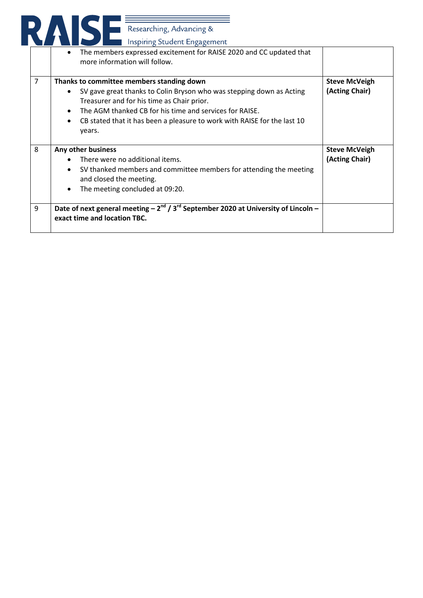|   | The members expressed excitement for RAISE 2020 and CC updated that<br>$\bullet$<br>more information will follow.                                                                                                                                                                                                |                                        |
|---|------------------------------------------------------------------------------------------------------------------------------------------------------------------------------------------------------------------------------------------------------------------------------------------------------------------|----------------------------------------|
| 7 | Thanks to committee members standing down<br>SV gave great thanks to Colin Bryson who was stepping down as Acting<br>Treasurer and for his time as Chair prior.<br>The AGM thanked CB for his time and services for RAISE.<br>CB stated that it has been a pleasure to work with RAISE for the last 10<br>years. | <b>Steve McVeigh</b><br>(Acting Chair) |
| 8 | Any other business<br>There were no additional items.<br>SV thanked members and committee members for attending the meeting<br>and closed the meeting.<br>The meeting concluded at 09:20.                                                                                                                        | <b>Steve McVeigh</b><br>(Acting Chair) |
| 9 | Date of next general meeting $-2^{nd}/3^{rd}$ September 2020 at University of Lincoln –<br>exact time and location TBC.                                                                                                                                                                                          |                                        |